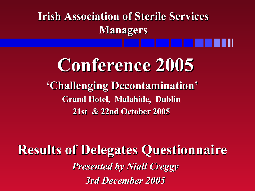**Irish Association of Sterile Services Managers**

**Conference 2005 'Challenging Decontamination' Grand Hotel, Malahide, Dublin 21st & 22nd October 2005**

**Results of Delegates Questionnaire** *Presented by Niall Creggy 3rd December 2005*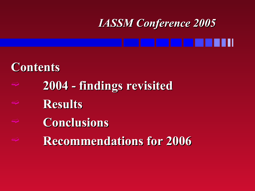### **Contents**

- **2004 - findings revisited**
- **Results**
- **Conclusions**
- **Recommendations for 2006**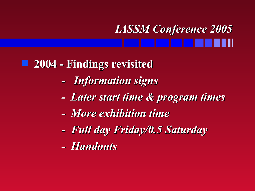#### **2004 - Findings revisited**

- *- Information signs*
- *- Later start time & program times*
- *- More exhibition time*
- *- Full day Friday/0.5 Saturday*
- *- Handouts*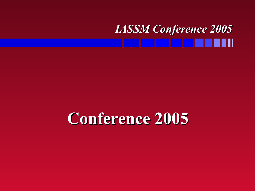### **Conference 2005**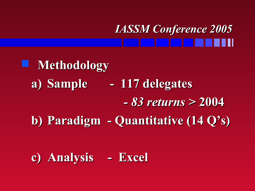**Methodology a) Sample - 117 delegates** *- 83 returns >* **2004 b) Paradigm - Quantitative (14 Q's)**

**c) Analysis - Excel**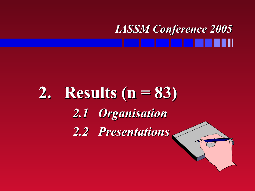### **2. Results (n = 83)** *2.1 Organisation 2.2 Presentations*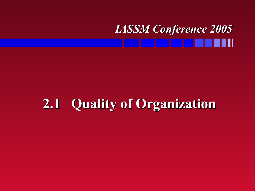### **2.1 Quality of Organization**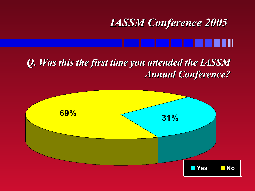#### *Q. Was this the first time you attended the IASSM Annual Conference?*

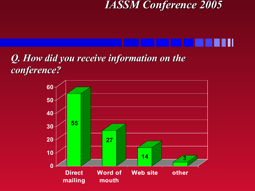

#### *Q. How did you receive information on the conference?*

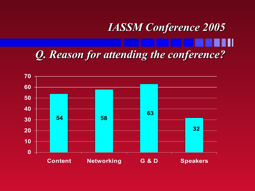### *IASSM Conference 2005 Q. Reason for attending the conference?*

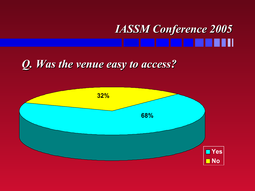#### *Q. Was the venue easy to access?*

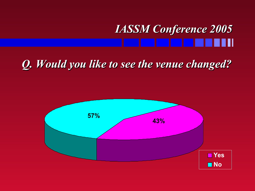#### *Q. Would you like to see the venue changed?*

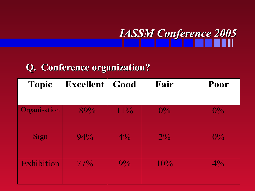

#### **Q. Conference organization?**

| <b>Topic</b> | <b>Excellent Good</b> |        | Fair  | Poor  |
|--------------|-----------------------|--------|-------|-------|
|              |                       |        |       |       |
| Organisation | 89%                   | $11\%$ | $0\%$ | $0\%$ |
|              |                       |        |       |       |
| Sign         | 94%                   | $4\%$  | $2\%$ | $0\%$ |
|              |                       |        |       |       |
| Exhibition   | $77\%$                | $9\%$  | 10%   | $4\%$ |
|              |                       |        |       |       |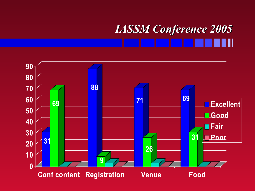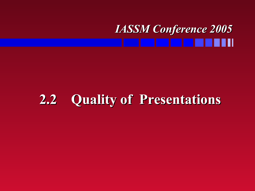#### *IASSM Conference 2005* an di T

### **2.2 Quality of Presentations**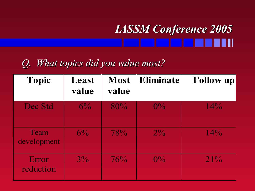#### *Q. What topics did you value most?*

| <b>Topic</b>        | Least<br>value | <b>Most</b><br>value | <b>Eliminate</b> | <b>Follow up</b> |
|---------------------|----------------|----------------------|------------------|------------------|
| Dec Std             | $6\%$          | 80%                  | $0\%$            | 14%              |
| Team<br>development | $6\%$          | 78%                  | $ 2^{0}\!/_{\!}$ | 14%              |
| Error<br>reduction  | $3\%$          | 76%                  | $0\%$            | $21\%$           |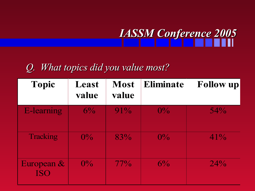

#### *Q. What topics did you value most?*

| <b>Topic</b>                | Least<br>value | <b>Most</b><br>value | <b>Eliminate</b> | <b>Follow up</b> |
|-----------------------------|----------------|----------------------|------------------|------------------|
| <b>E-learning</b>           | $6\%$          | $91\%$               | $0\%$            | 54%              |
| Tracking                    | $0\%$          | 83%                  | $0\%$            | $41\%$           |
| European $\&$<br><b>ISO</b> | $ 0\% $        | $77\%$               | $6\%$            | 24%              |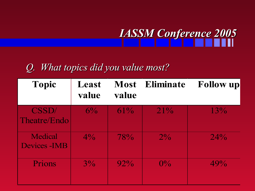

#### *Q. What topics did you value most?*

| <b>Topic</b>             | Least<br>value | <b>Most</b><br>value | <b>Eliminate</b> | <b>Follow up</b> |
|--------------------------|----------------|----------------------|------------------|------------------|
| CSSD/<br>Theatre/Endo    | $6\%$          | 61%                  | 21%              | 13%              |
| Medical<br>Devices - IMB | $4\%$          | 78%                  | $ 2\% $          | 24%              |
| Prions                   | $3\%$          | $92\%$               | $0\%$            | 49%              |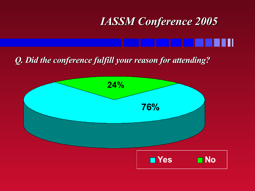*Q. Did the conference fulfill your reason for attending?*

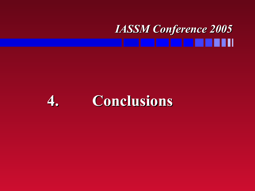### **4. Conclusions**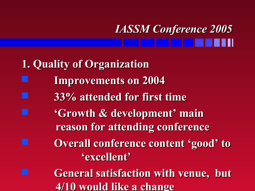- **1. Quality of Organization**
- **Improvements on 2004**
	- **33% attended for first time**
	- **'Growth & development' main reason for attending conference**
		- **Overall conference content 'good' to 'excellent'**
	- **General satisfaction with venue, but 4/10 would like a change**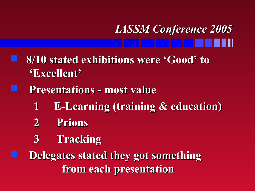- **8/10 stated exhibitions were 'Good' to 'Excellent'**
	- **Presentations - most value**
		- **1 E-Learning (training & education)**
		- **2 Prions**
		- **3 Tracking**
		- **Delegates stated they got something from each presentation**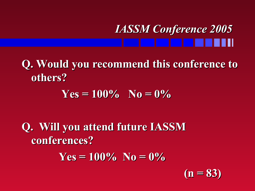**Q. Would you recommend this conference to others?**

 $Yes = 100\%$   $N_0 = 0\%$ 

**Q. Will you attend future IASSM conferences?**

 $Yes = 100\%$   $No = 0\%$ 

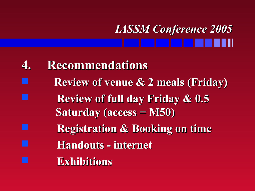- **4. Recommendations**
- **Review of venue & 2 meals (Friday)**
	- **Review of full day Friday & 0.5 Saturday (access = M50)**
	- **Registration & Booking on time**
	- **Handouts - internet**
		- **Exhibitions**